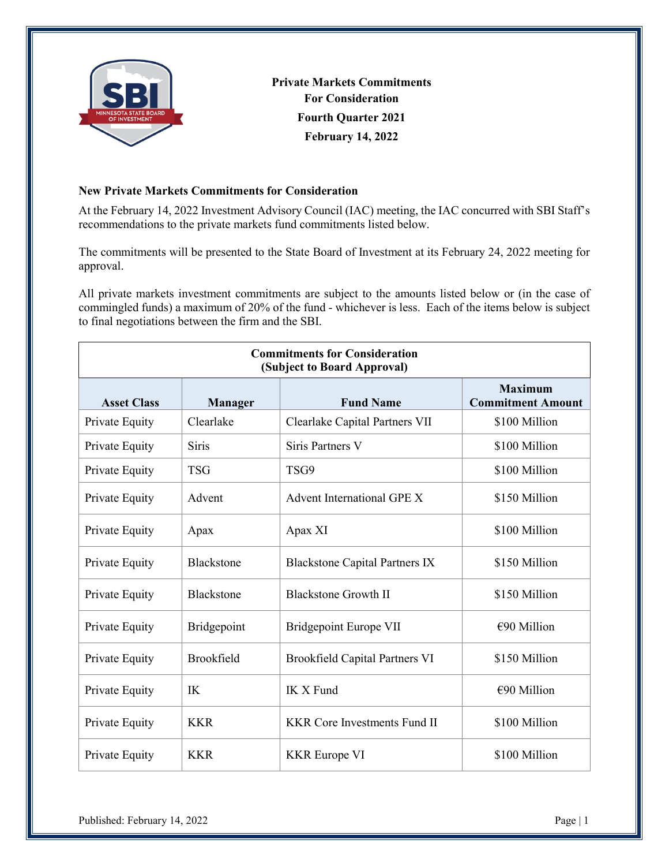

**Private Markets Commitments For Consideration Fourth Quarter 2021 February 14, 2022**

## **New Private Markets Commitments for Consideration**

At the February 14, 2022 Investment Advisory Council (IAC) meeting, the IAC concurred with SBI Staff's recommendations to the private markets fund commitments listed below.

The commitments will be presented to the State Board of Investment at its February 24, 2022 meeting for approval.

All private markets investment commitments are subject to the amounts listed below or (in the case of commingled funds) a maximum of 20% of the fund - whichever is less. Each of the items below is subject to final negotiations between the firm and the SBI.

| <b>Commitments for Consideration</b><br>(Subject to Board Approval) |                   |                                       |                                            |  |
|---------------------------------------------------------------------|-------------------|---------------------------------------|--------------------------------------------|--|
| <b>Asset Class</b>                                                  | <b>Manager</b>    | <b>Fund Name</b>                      | <b>Maximum</b><br><b>Commitment Amount</b> |  |
| Private Equity                                                      | Clearlake         | Clearlake Capital Partners VII        | \$100 Million                              |  |
| Private Equity                                                      | Siris             | <b>Siris Partners V</b>               | \$100 Million                              |  |
| Private Equity                                                      | <b>TSG</b>        | TSG9                                  | \$100 Million                              |  |
| Private Equity                                                      | Advent            | Advent International GPE X            | \$150 Million                              |  |
| Private Equity                                                      | Apax              | Apax XI                               | \$100 Million                              |  |
| Private Equity                                                      | Blackstone        | <b>Blackstone Capital Partners IX</b> | \$150 Million                              |  |
| Private Equity                                                      | <b>Blackstone</b> | <b>Blackstone Growth II</b>           | \$150 Million                              |  |
| Private Equity                                                      | Bridgepoint       | Bridgepoint Europe VII                | $€90$ Million                              |  |
| Private Equity                                                      | Brookfield        | <b>Brookfield Capital Partners VI</b> | \$150 Million                              |  |
| Private Equity                                                      | IK                | IK X Fund                             | $\epsilon$ 90 Million                      |  |
| Private Equity                                                      | <b>KKR</b>        | <b>KKR Core Investments Fund II</b>   | \$100 Million                              |  |
| Private Equity                                                      | <b>KKR</b>        | <b>KKR</b> Europe VI                  | \$100 Million                              |  |